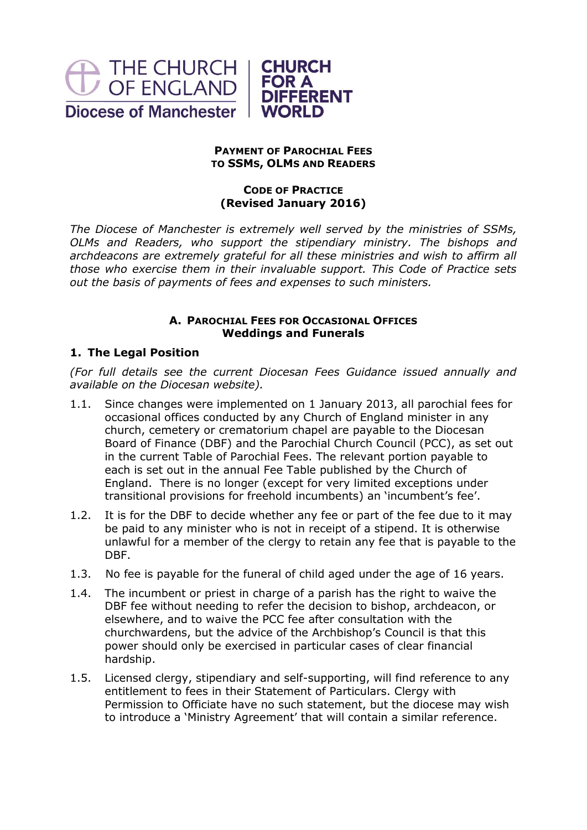

### **PAYMENT OF PAROCHIAL FEES TO SSMS, OLMS AND READERS**

# **CODE OF PRACTICE (Revised January 2016)**

*The Diocese of Manchester is extremely well served by the ministries of SSMs, OLMs and Readers, who support the stipendiary ministry. The bishops and archdeacons are extremely grateful for all these ministries and wish to affirm all those who exercise them in their invaluable support. This Code of Practice sets out the basis of payments of fees and expenses to such ministers.*

# **A. PAROCHIAL FEES FOR OCCASIONAL OFFICES Weddings and Funerals**

# **1. The Legal Position**

*(For full details see the current Diocesan Fees Guidance issued annually and available on the Diocesan website).*

- 1.1. Since changes were implemented on 1 January 2013, all parochial fees for occasional offices conducted by any Church of England minister in any church, cemetery or crematorium chapel are payable to the Diocesan Board of Finance (DBF) and the Parochial Church Council (PCC), as set out in the current Table of Parochial Fees. The relevant portion payable to each is set out in the annual Fee Table published by the Church of England. There is no longer (except for very limited exceptions under transitional provisions for freehold incumbents) an 'incumbent's fee'.
- 1.2. It is for the DBF to decide whether any fee or part of the fee due to it may be paid to any minister who is not in receipt of a stipend. It is otherwise unlawful for a member of the clergy to retain any fee that is payable to the DBF.
- 1.3. No fee is payable for the funeral of child aged under the age of 16 years.
- 1.4. The incumbent or priest in charge of a parish has the right to waive the DBF fee without needing to refer the decision to bishop, archdeacon, or elsewhere, and to waive the PCC fee after consultation with the churchwardens, but the advice of the Archbishop's Council is that this power should only be exercised in particular cases of clear financial hardship.
- 1.5. Licensed clergy, stipendiary and self-supporting, will find reference to any entitlement to fees in their Statement of Particulars. Clergy with Permission to Officiate have no such statement, but the diocese may wish to introduce a 'Ministry Agreement' that will contain a similar reference.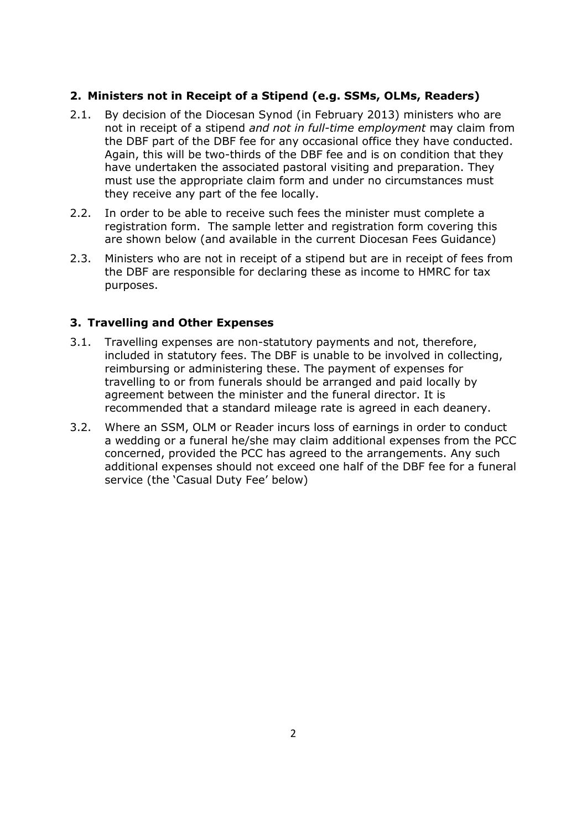# **2. Ministers not in Receipt of a Stipend (e.g. SSMs, OLMs, Readers)**

- 2.1. By decision of the Diocesan Synod (in February 2013) ministers who are not in receipt of a stipend *and not in full-time employment* may claim from the DBF part of the DBF fee for any occasional office they have conducted. Again, this will be two-thirds of the DBF fee and is on condition that they have undertaken the associated pastoral visiting and preparation. They must use the appropriate claim form and under no circumstances must they receive any part of the fee locally.
- 2.2. In order to be able to receive such fees the minister must complete a registration form. The sample letter and registration form covering this are shown below (and available in the current Diocesan Fees Guidance)
- 2.3. Ministers who are not in receipt of a stipend but are in receipt of fees from the DBF are responsible for declaring these as income to HMRC for tax purposes.

#### **3. Travelling and Other Expenses**

- 3.1. Travelling expenses are non-statutory payments and not, therefore, included in statutory fees. The DBF is unable to be involved in collecting, reimbursing or administering these. The payment of expenses for travelling to or from funerals should be arranged and paid locally by agreement between the minister and the funeral director. It is recommended that a standard mileage rate is agreed in each deanery.
- 3.2. Where an SSM, OLM or Reader incurs loss of earnings in order to conduct a wedding or a funeral he/she may claim additional expenses from the PCC concerned, provided the PCC has agreed to the arrangements. Any such additional expenses should not exceed one half of the DBF fee for a funeral service (the 'Casual Duty Fee' below)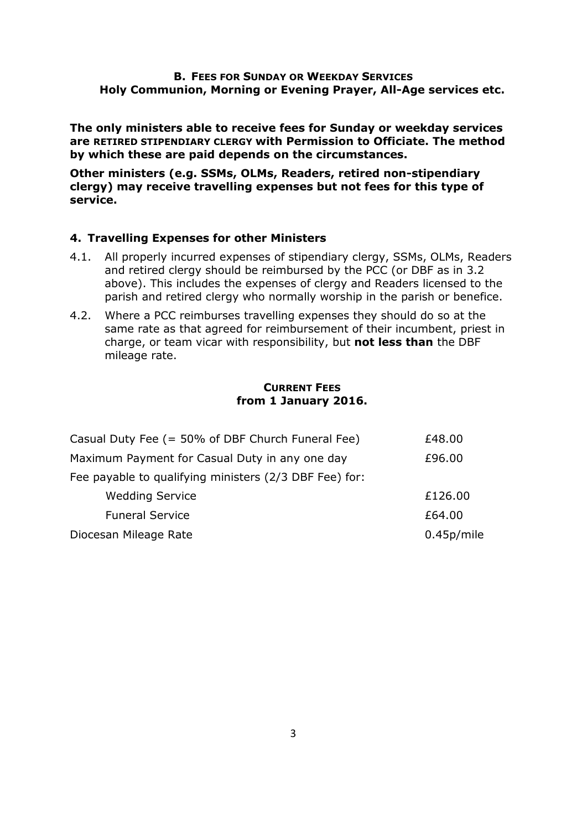#### **B. FEES FOR SUNDAY OR WEEKDAY SERVICES Holy Communion, Morning or Evening Prayer, All-Age services etc.**

**The only ministers able to receive fees for Sunday or weekday services are RETIRED STIPENDIARY CLERGY with Permission to Officiate. The method by which these are paid depends on the circumstances.**

**Other ministers (e.g. SSMs, OLMs, Readers, retired non-stipendiary clergy) may receive travelling expenses but not fees for this type of service.**

#### **4. Travelling Expenses for other Ministers**

- 4.1. All properly incurred expenses of stipendiary clergy, SSMs, OLMs, Readers and retired clergy should be reimbursed by the PCC (or DBF as in 3.2 above). This includes the expenses of clergy and Readers licensed to the parish and retired clergy who normally worship in the parish or benefice.
- 4.2. Where a PCC reimburses travelling expenses they should do so at the same rate as that agreed for reimbursement of their incumbent, priest in charge, or team vicar with responsibility, but **not less than** the DBF mileage rate.

#### **CURRENT FEES from 1 January 2016.**

| Casual Duty Fee (= 50% of DBF Church Funeral Fee)      | £48.00     |
|--------------------------------------------------------|------------|
| Maximum Payment for Casual Duty in any one day         | £96.00     |
| Fee payable to qualifying ministers (2/3 DBF Fee) for: |            |
| <b>Wedding Service</b>                                 | £126.00    |
| <b>Funeral Service</b>                                 | £64.00     |
| Diocesan Mileage Rate                                  | 0.45p/mile |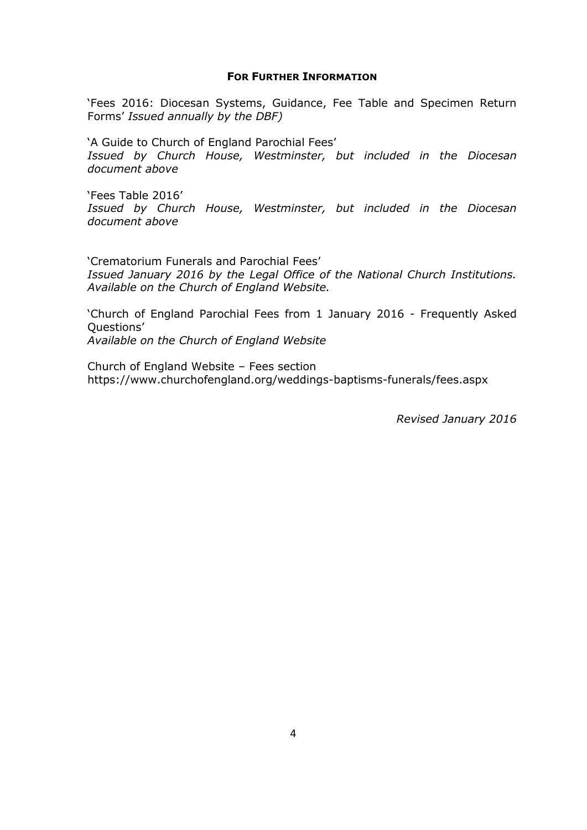#### **FOR FURTHER INFORMATION**

'Fees 2016: Diocesan Systems, Guidance, Fee Table and Specimen Return Forms' *Issued annually by the DBF)*

'A Guide to Church of England Parochial Fees' *Issued by Church House, Westminster, but included in the Diocesan document above*

'Fees Table 2016' *Issued by Church House, Westminster, but included in the Diocesan document above*

'Crematorium Funerals and Parochial Fees' *Issued January 2016 by the Legal Office of the National Church Institutions. Available on the Church of England Website.*

'Church of England Parochial Fees from 1 January 2016 - Frequently Asked Questions' *Available on the Church of England Website*

Church of England Website – Fees section https://www.churchofengland.org/weddings-baptisms-funerals/fees.aspx

*Revised January 2016*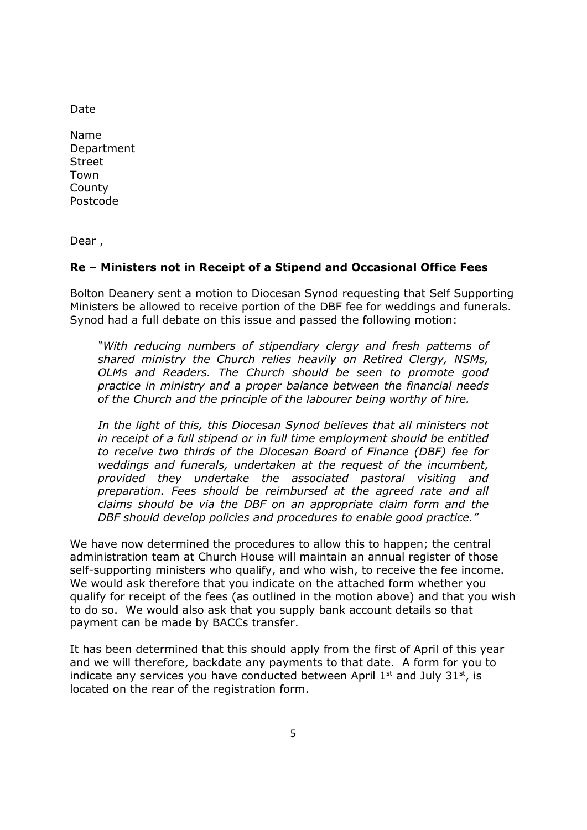Date

Name Department Street Town **County** Postcode

Dear ,

# **Re – Ministers not in Receipt of a Stipend and Occasional Office Fees**

Bolton Deanery sent a motion to Diocesan Synod requesting that Self Supporting Ministers be allowed to receive portion of the DBF fee for weddings and funerals. Synod had a full debate on this issue and passed the following motion:

*"With reducing numbers of stipendiary clergy and fresh patterns of shared ministry the Church relies heavily on Retired Clergy, NSMs, OLMs and Readers. The Church should be seen to promote good practice in ministry and a proper balance between the financial needs of the Church and the principle of the labourer being worthy of hire.*

In the light of this, this Diocesan Synod believes that all ministers not *in receipt of a full stipend or in full time employment should be entitled to receive two thirds of the Diocesan Board of Finance (DBF) fee for weddings and funerals, undertaken at the request of the incumbent, provided they undertake the associated pastoral visiting and preparation. Fees should be reimbursed at the agreed rate and all claims should be via the DBF on an appropriate claim form and the DBF should develop policies and procedures to enable good practice."*

We have now determined the procedures to allow this to happen; the central administration team at Church House will maintain an annual register of those self-supporting ministers who qualify, and who wish, to receive the fee income. We would ask therefore that you indicate on the attached form whether you qualify for receipt of the fees (as outlined in the motion above) and that you wish to do so. We would also ask that you supply bank account details so that payment can be made by BACCs transfer.

It has been determined that this should apply from the first of April of this year and we will therefore, backdate any payments to that date. A form for you to indicate any services you have conducted between April  $1<sup>st</sup>$  and July  $31<sup>st</sup>$ , is located on the rear of the registration form.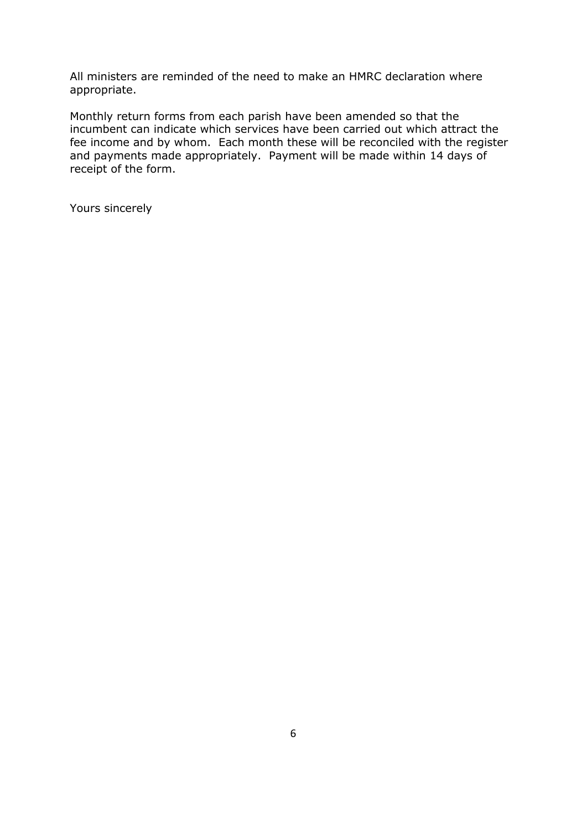All ministers are reminded of the need to make an HMRC declaration where appropriate.

Monthly return forms from each parish have been amended so that the incumbent can indicate which services have been carried out which attract the fee income and by whom. Each month these will be reconciled with the register and payments made appropriately. Payment will be made within 14 days of receipt of the form.

Yours sincerely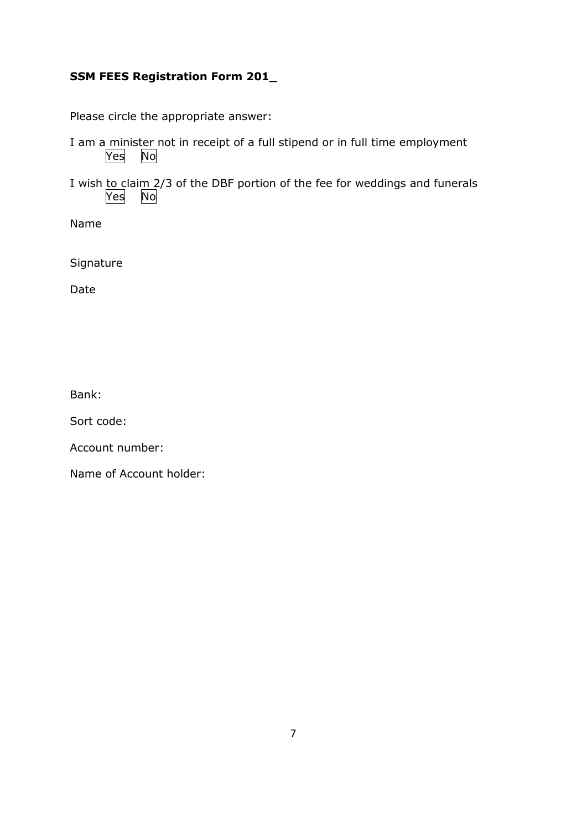# **SSM FEES Registration Form 201\_**

Please circle the appropriate answer:

- I am a minister not in receipt of a full stipend or in full time employment Yes No
- I wish to claim 2/3 of the DBF portion of the fee for weddings and funerals  $\overline{Yes}$  No  $Yes$

Name

Signature

Date

Bank:

Sort code:

Account number:

Name of Account holder: